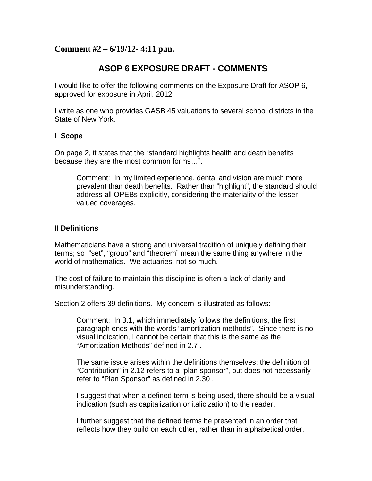## **Comment #2 – 6/19/12- 4:11 p.m.**

# **ASOP 6 EXPOSURE DRAFT - COMMENTS**

I would like to offer the following comments on the Exposure Draft for ASOP 6, approved for exposure in April, 2012.

I write as one who provides GASB 45 valuations to several school districts in the State of New York.

#### **I Scope**

On page 2, it states that the "standard highlights health and death benefits because they are the most common forms…".

Comment: In my limited experience, dental and vision are much more prevalent than death benefits. Rather than "highlight", the standard should address all OPEBs explicitly, considering the materiality of the lesservalued coverages.

#### **II Definitions**

Mathematicians have a strong and universal tradition of uniquely defining their terms; so "set", "group" and "theorem" mean the same thing anywhere in the world of mathematics. We actuaries, not so much.

The cost of failure to maintain this discipline is often a lack of clarity and misunderstanding.

Section 2 offers 39 definitions. My concern is illustrated as follows:

Comment: In 3.1, which immediately follows the definitions, the first paragraph ends with the words "amortization methods". Since there is no visual indication, I cannot be certain that this is the same as the "Amortization Methods" defined in 2.7 .

The same issue arises within the definitions themselves: the definition of "Contribution" in 2.12 refers to a "plan sponsor", but does not necessarily refer to "Plan Sponsor" as defined in 2.30 .

I suggest that when a defined term is being used, there should be a visual indication (such as capitalization or italicization) to the reader.

I further suggest that the defined terms be presented in an order that reflects how they build on each other, rather than in alphabetical order.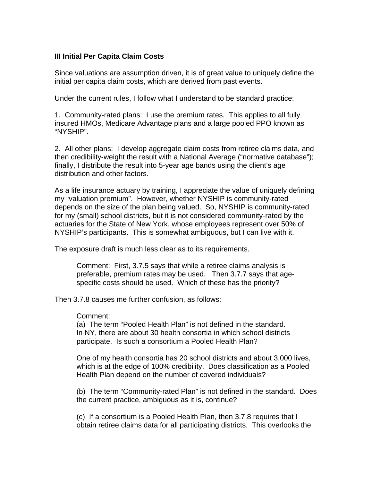### **III Initial Per Capita Claim Costs**

Since valuations are assumption driven, it is of great value to uniquely define the initial per capita claim costs, which are derived from past events.

Under the current rules, I follow what I understand to be standard practice:

1. Community-rated plans: I use the premium rates. This applies to all fully insured HMOs, Medicare Advantage plans and a large pooled PPO known as "NYSHIP".

2. All other plans: I develop aggregate claim costs from retiree claims data, and then credibility-weight the result with a National Average ("normative database"); finally, I distribute the result into 5-year age bands using the client's age distribution and other factors.

As a life insurance actuary by training, I appreciate the value of uniquely defining my "valuation premium". However, whether NYSHIP is community-rated depends on the size of the plan being valued. So, NYSHIP is community-rated for my (small) school districts, but it is not considered community-rated by the actuaries for the State of New York, whose employees represent over 50% of NYSHIP's participants. This is somewhat ambiguous, but I can live with it.

The exposure draft is much less clear as to its requirements.

Comment: First, 3.7.5 says that while a retiree claims analysis is preferable, premium rates may be used. Then 3.7.7 says that agespecific costs should be used. Which of these has the priority?

Then 3.7.8 causes me further confusion, as follows:

#### Comment:

(a) The term "Pooled Health Plan" is not defined in the standard. In NY, there are about 30 health consortia in which school districts participate. Is such a consortium a Pooled Health Plan?

One of my health consortia has 20 school districts and about 3,000 lives, which is at the edge of 100% credibility. Does classification as a Pooled Health Plan depend on the number of covered individuals?

(b) The term "Community-rated Plan" is not defined in the standard. Does the current practice, ambiguous as it is, continue?

(c) If a consortium is a Pooled Health Plan, then 3.7.8 requires that I obtain retiree claims data for all participating districts. This overlooks the